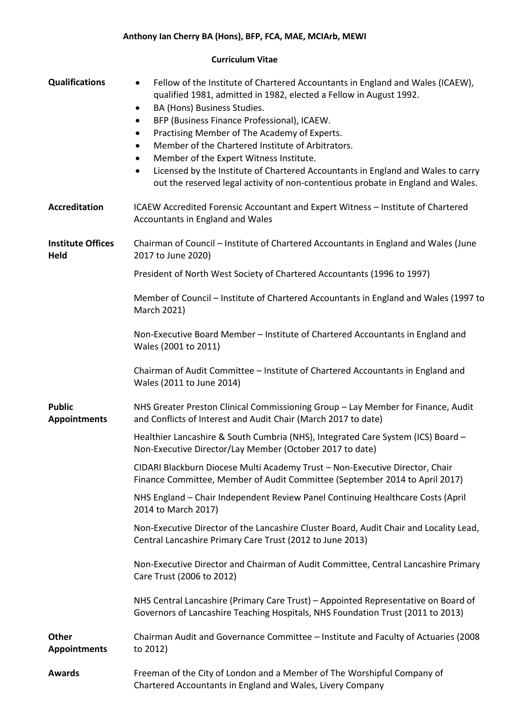## **Curriculum Vitae**

| <b>Qualifications</b>                | Fellow of the Institute of Chartered Accountants in England and Wales (ICAEW),<br>$\bullet$<br>qualified 1981, admitted in 1982, elected a Fellow in August 1992.<br>BA (Hons) Business Studies.<br>$\bullet$<br>BFP (Business Finance Professional), ICAEW.<br>$\bullet$<br>Practising Member of The Academy of Experts.<br>$\bullet$<br>Member of the Chartered Institute of Arbitrators.<br>$\bullet$<br>Member of the Expert Witness Institute.<br>$\bullet$<br>Licensed by the Institute of Chartered Accountants in England and Wales to carry<br>$\bullet$<br>out the reserved legal activity of non-contentious probate in England and Wales. |
|--------------------------------------|-------------------------------------------------------------------------------------------------------------------------------------------------------------------------------------------------------------------------------------------------------------------------------------------------------------------------------------------------------------------------------------------------------------------------------------------------------------------------------------------------------------------------------------------------------------------------------------------------------------------------------------------------------|
| <b>Accreditation</b>                 | ICAEW Accredited Forensic Accountant and Expert Witness - Institute of Chartered<br>Accountants in England and Wales                                                                                                                                                                                                                                                                                                                                                                                                                                                                                                                                  |
| <b>Institute Offices</b><br>Held     | Chairman of Council - Institute of Chartered Accountants in England and Wales (June<br>2017 to June 2020)                                                                                                                                                                                                                                                                                                                                                                                                                                                                                                                                             |
|                                      | President of North West Society of Chartered Accountants (1996 to 1997)                                                                                                                                                                                                                                                                                                                                                                                                                                                                                                                                                                               |
|                                      | Member of Council – Institute of Chartered Accountants in England and Wales (1997 to<br>March 2021)                                                                                                                                                                                                                                                                                                                                                                                                                                                                                                                                                   |
|                                      | Non-Executive Board Member - Institute of Chartered Accountants in England and<br>Wales (2001 to 2011)                                                                                                                                                                                                                                                                                                                                                                                                                                                                                                                                                |
|                                      | Chairman of Audit Committee - Institute of Chartered Accountants in England and<br>Wales (2011 to June 2014)                                                                                                                                                                                                                                                                                                                                                                                                                                                                                                                                          |
| <b>Public</b><br><b>Appointments</b> | NHS Greater Preston Clinical Commissioning Group - Lay Member for Finance, Audit<br>and Conflicts of Interest and Audit Chair (March 2017 to date)                                                                                                                                                                                                                                                                                                                                                                                                                                                                                                    |
|                                      | Healthier Lancashire & South Cumbria (NHS), Integrated Care System (ICS) Board -<br>Non-Executive Director/Lay Member (October 2017 to date)                                                                                                                                                                                                                                                                                                                                                                                                                                                                                                          |
|                                      | CIDARI Blackburn Diocese Multi Academy Trust - Non-Executive Director, Chair<br>Finance Committee, Member of Audit Committee (September 2014 to April 2017)                                                                                                                                                                                                                                                                                                                                                                                                                                                                                           |
|                                      | NHS England - Chair Independent Review Panel Continuing Healthcare Costs (April<br>2014 to March 2017)                                                                                                                                                                                                                                                                                                                                                                                                                                                                                                                                                |
|                                      | Non-Executive Director of the Lancashire Cluster Board, Audit Chair and Locality Lead,<br>Central Lancashire Primary Care Trust (2012 to June 2013)                                                                                                                                                                                                                                                                                                                                                                                                                                                                                                   |
|                                      | Non-Executive Director and Chairman of Audit Committee, Central Lancashire Primary<br>Care Trust (2006 to 2012)                                                                                                                                                                                                                                                                                                                                                                                                                                                                                                                                       |
|                                      | NHS Central Lancashire (Primary Care Trust) – Appointed Representative on Board of<br>Governors of Lancashire Teaching Hospitals, NHS Foundation Trust (2011 to 2013)                                                                                                                                                                                                                                                                                                                                                                                                                                                                                 |
| <b>Other</b><br><b>Appointments</b>  | Chairman Audit and Governance Committee - Institute and Faculty of Actuaries (2008<br>to 2012)                                                                                                                                                                                                                                                                                                                                                                                                                                                                                                                                                        |
| <b>Awards</b>                        | Freeman of the City of London and a Member of The Worshipful Company of<br>Chartered Accountants in England and Wales, Livery Company                                                                                                                                                                                                                                                                                                                                                                                                                                                                                                                 |